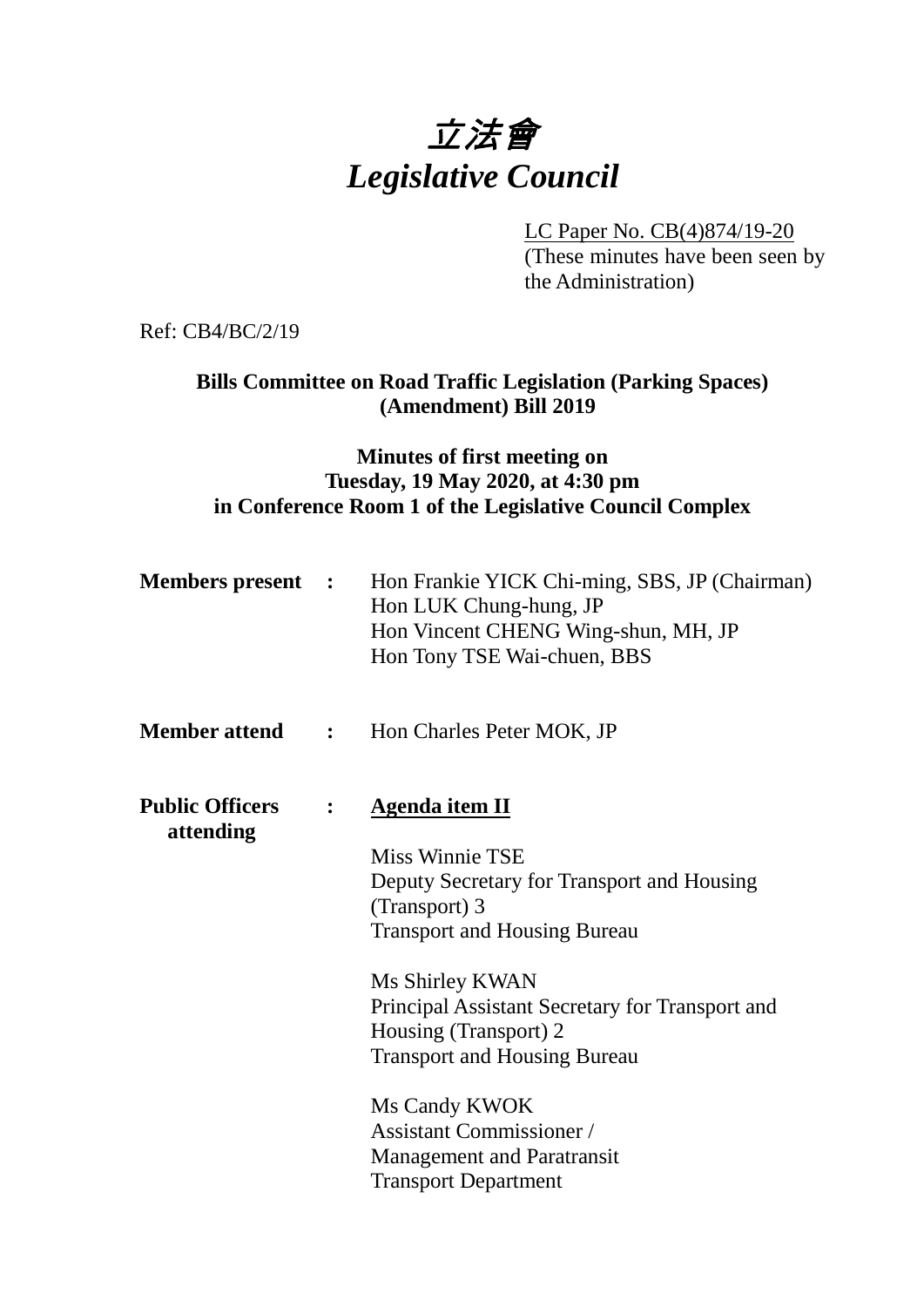# 立法會 *Legislative Council*

LC Paper No. CB(4)874/19-20 (These minutes have been seen by the Administration)

Ref: CB4/BC/2/19

# **Bills Committee on Road Traffic Legislation (Parking Spaces) (Amendment) Bill 2019**

## **Minutes of first meeting on Tuesday, 19 May 2020, at 4:30 pm in Conference Room 1 of the Legislative Council Complex**

| <b>Members present :</b>            |                | Hon Frankie YICK Chi-ming, SBS, JP (Chairman)<br>Hon LUK Chung-hung, JP<br>Hon Vincent CHENG Wing-shun, MH, JP<br>Hon Tony TSE Wai-chuen, BBS                                                                                                                                                         |
|-------------------------------------|----------------|-------------------------------------------------------------------------------------------------------------------------------------------------------------------------------------------------------------------------------------------------------------------------------------------------------|
|                                     |                | <b>Member attend : Hon Charles Peter MOK, JP</b>                                                                                                                                                                                                                                                      |
| <b>Public Officers</b><br>attending | $\ddot{\cdot}$ | <b>Agenda item II</b><br>Miss Winnie TSE<br>Deputy Secretary for Transport and Housing<br>(Transport) 3<br><b>Transport and Housing Bureau</b><br>Ms Shirley KWAN<br>Principal Assistant Secretary for Transport and<br>Housing (Transport) 2<br><b>Transport and Housing Bureau</b><br>Ms Candy KWOK |
|                                     |                | <b>Assistant Commissioner</b> /<br><b>Management and Paratransit</b><br><b>Transport Department</b>                                                                                                                                                                                                   |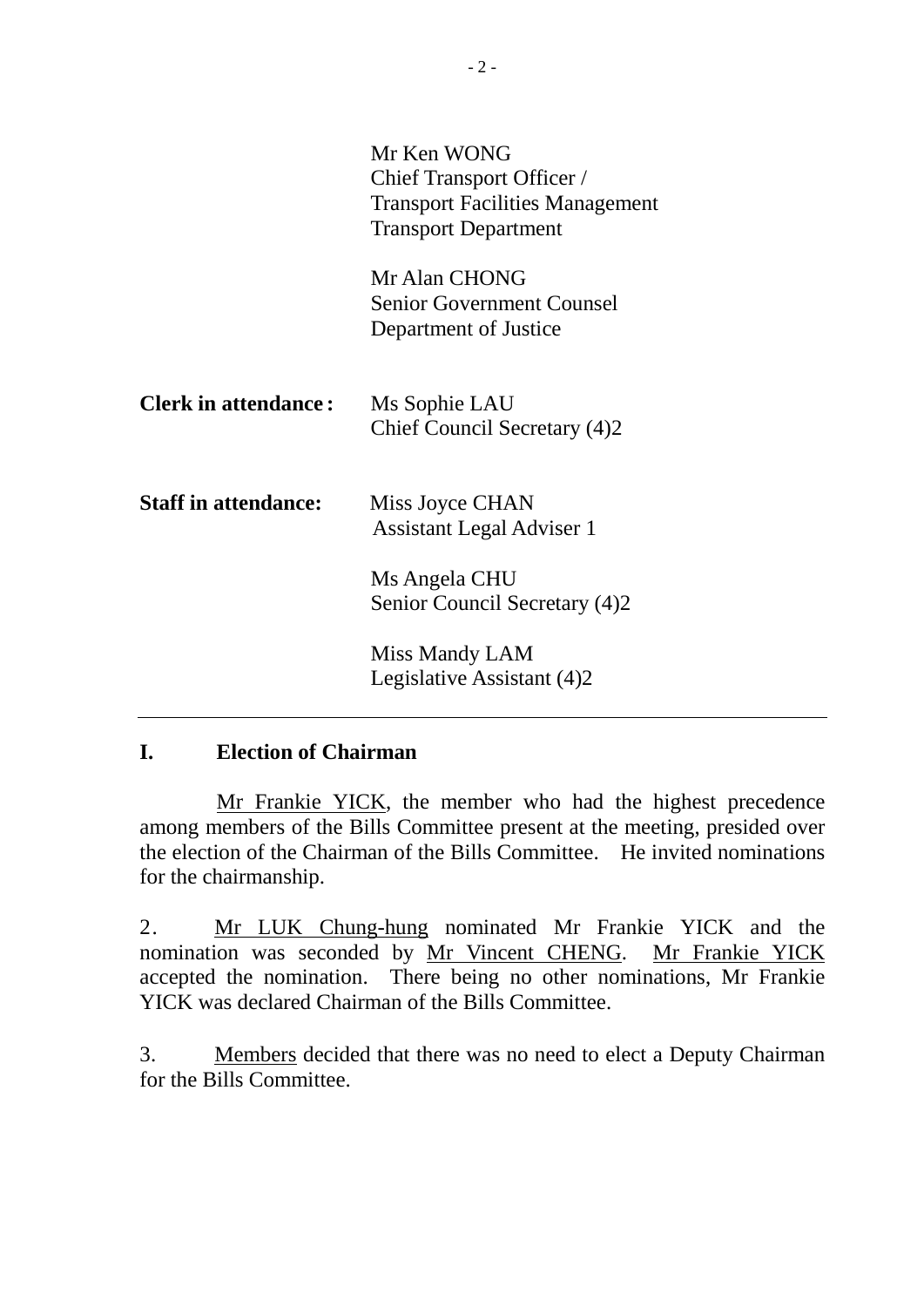|                             | Mr Ken WONG<br><b>Chief Transport Officer /</b><br><b>Transport Facilities Management</b><br><b>Transport Department</b> |
|-----------------------------|--------------------------------------------------------------------------------------------------------------------------|
|                             | Mr Alan CHONG<br><b>Senior Government Counsel</b><br>Department of Justice                                               |
| <b>Clerk in attendance:</b> | Ms Sophie LAU<br>Chief Council Secretary (4)2                                                                            |
| <b>Staff in attendance:</b> | Miss Joyce CHAN<br><b>Assistant Legal Adviser 1</b>                                                                      |
|                             | Ms Angela CHU<br>Senior Council Secretary (4)2                                                                           |
|                             | Miss Mandy LAM<br>Legislative Assistant (4)2                                                                             |

#### **I. Election of Chairman**

Mr Frankie YICK, the member who had the highest precedence among members of the Bills Committee present at the meeting, presided over the election of the Chairman of the Bills Committee. He invited nominations for the chairmanship.

2. Mr LUK Chung-hung nominated Mr Frankie YICK and the nomination was seconded by Mr Vincent CHENG. Mr Frankie YICK accepted the nomination. There being no other nominations, Mr Frankie YICK was declared Chairman of the Bills Committee.

3. Members decided that there was no need to elect a Deputy Chairman for the Bills Committee.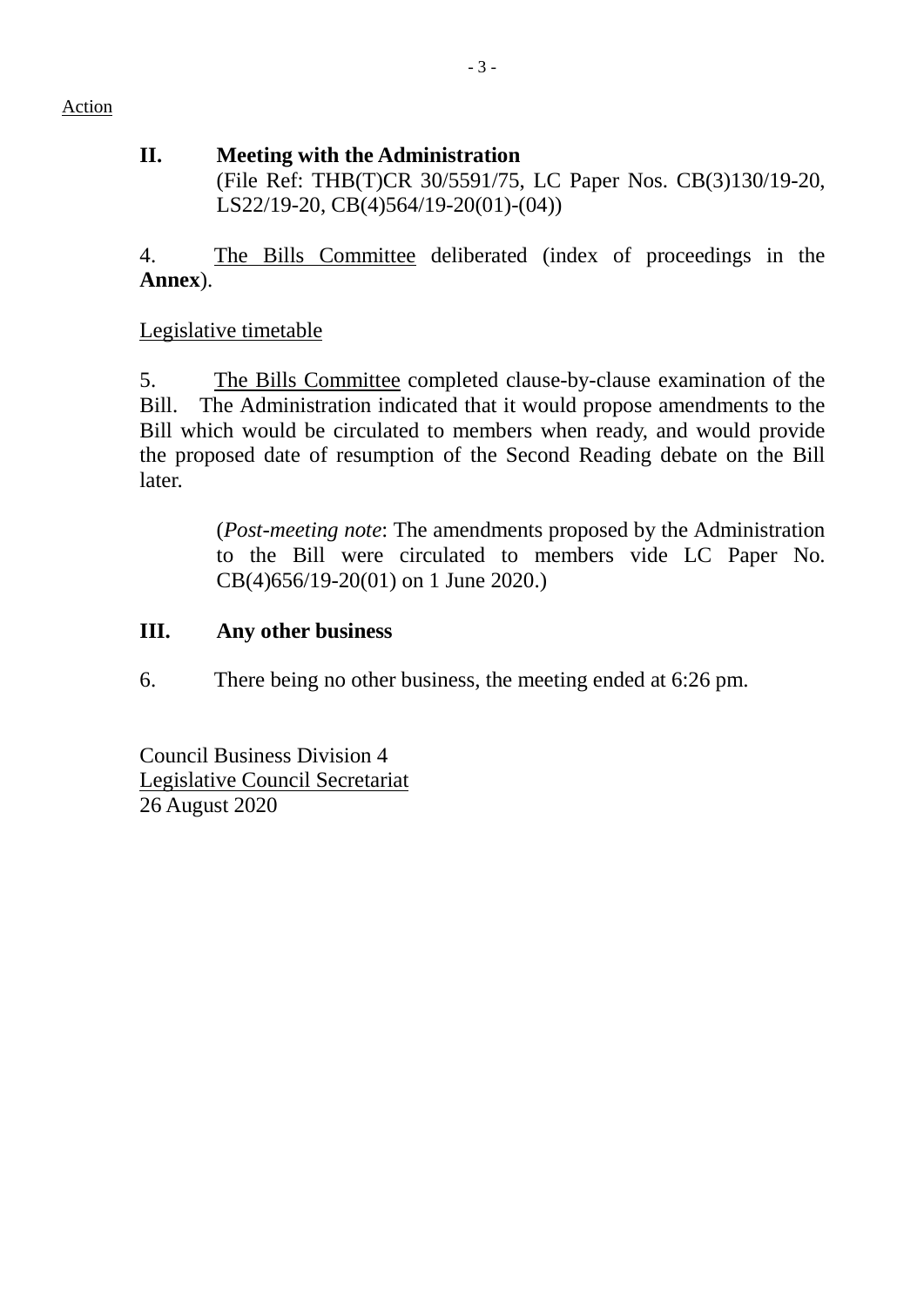Action

#### **II. Meeting with the Administration** (File Ref: THB(T)CR 30/5591/75, LC Paper Nos. CB(3)130/19-20, LS22/19-20, CB(4)564/19-20(01)-(04))

4. The Bills Committee deliberated (index of proceedings in the **Annex**).

Legislative timetable

5. The Bills Committee completed clause-by-clause examination of the Bill. The Administration indicated that it would propose amendments to the Bill which would be circulated to members when ready, and would provide the proposed date of resumption of the Second Reading debate on the Bill later.

> (*Post-meeting note*: The amendments proposed by the Administration to the Bill were circulated to members vide LC Paper No. CB(4)656/19-20(01) on 1 June 2020.)

## **III. Any other business**

6. There being no other business, the meeting ended at 6:26 pm.

Council Business Division 4 Legislative Council Secretariat 26 August 2020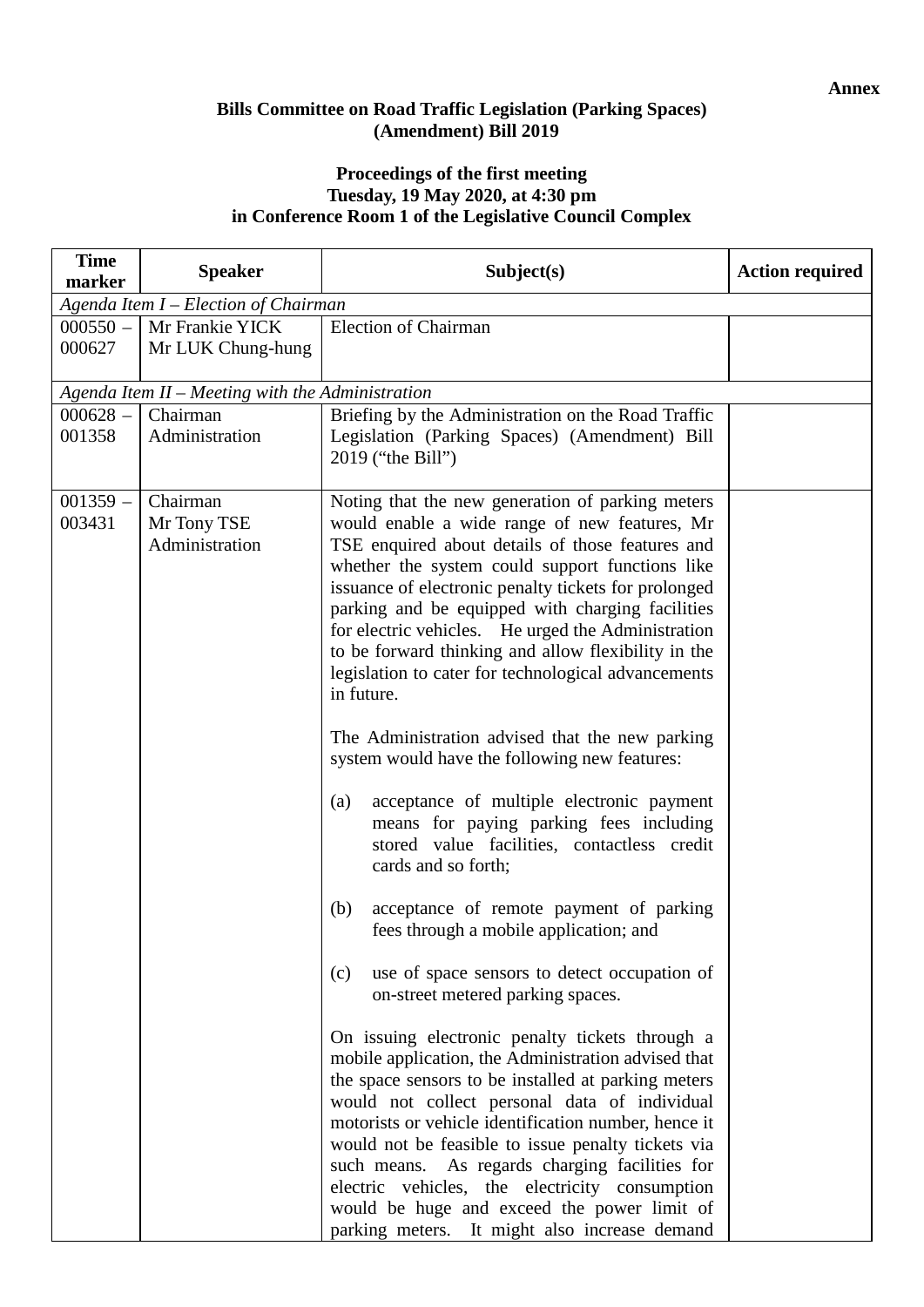#### **Annex**

#### **Bills Committee on Road Traffic Legislation (Parking Spaces) (Amendment) Bill 2019**

#### **Proceedings of the first meeting Tuesday, 19 May 2020, at 4:30 pm in Conference Room 1 of the Legislative Council Complex**

| marker                                                                                               |                                                                                                                                                                                                                                                                                                                                                                                                                                                                                                                                                                                                                                                                                                                                                                                                                                                                                                                                                                                                                                                                                                                                                                                                                                                                                                                                                                                                                                                                          |  |
|------------------------------------------------------------------------------------------------------|--------------------------------------------------------------------------------------------------------------------------------------------------------------------------------------------------------------------------------------------------------------------------------------------------------------------------------------------------------------------------------------------------------------------------------------------------------------------------------------------------------------------------------------------------------------------------------------------------------------------------------------------------------------------------------------------------------------------------------------------------------------------------------------------------------------------------------------------------------------------------------------------------------------------------------------------------------------------------------------------------------------------------------------------------------------------------------------------------------------------------------------------------------------------------------------------------------------------------------------------------------------------------------------------------------------------------------------------------------------------------------------------------------------------------------------------------------------------------|--|
| Agenda Item I – Election of Chairman                                                                 |                                                                                                                                                                                                                                                                                                                                                                                                                                                                                                                                                                                                                                                                                                                                                                                                                                                                                                                                                                                                                                                                                                                                                                                                                                                                                                                                                                                                                                                                          |  |
| $000550 -$<br>Mr Frankie YICK                                                                        | <b>Election of Chairman</b>                                                                                                                                                                                                                                                                                                                                                                                                                                                                                                                                                                                                                                                                                                                                                                                                                                                                                                                                                                                                                                                                                                                                                                                                                                                                                                                                                                                                                                              |  |
| 000627<br>Mr LUK Chung-hung                                                                          |                                                                                                                                                                                                                                                                                                                                                                                                                                                                                                                                                                                                                                                                                                                                                                                                                                                                                                                                                                                                                                                                                                                                                                                                                                                                                                                                                                                                                                                                          |  |
| Agenda Item II - Meeting with the Administration                                                     |                                                                                                                                                                                                                                                                                                                                                                                                                                                                                                                                                                                                                                                                                                                                                                                                                                                                                                                                                                                                                                                                                                                                                                                                                                                                                                                                                                                                                                                                          |  |
| $000628 -$<br>Chairman                                                                               | Briefing by the Administration on the Road Traffic                                                                                                                                                                                                                                                                                                                                                                                                                                                                                                                                                                                                                                                                                                                                                                                                                                                                                                                                                                                                                                                                                                                                                                                                                                                                                                                                                                                                                       |  |
| 001358<br>Administration                                                                             | Legislation (Parking Spaces) (Amendment) Bill<br>2019 ("the Bill")                                                                                                                                                                                                                                                                                                                                                                                                                                                                                                                                                                                                                                                                                                                                                                                                                                                                                                                                                                                                                                                                                                                                                                                                                                                                                                                                                                                                       |  |
| $001359 -$<br>Chairman<br>003431<br>Mr Tony TSE<br>Administration<br>in future.<br>(a)<br>(b)<br>(c) | Noting that the new generation of parking meters<br>would enable a wide range of new features, Mr<br>TSE enquired about details of those features and<br>whether the system could support functions like<br>issuance of electronic penalty tickets for prolonged<br>parking and be equipped with charging facilities<br>for electric vehicles. He urged the Administration<br>to be forward thinking and allow flexibility in the<br>legislation to cater for technological advancements<br>The Administration advised that the new parking<br>system would have the following new features:<br>acceptance of multiple electronic payment<br>means for paying parking fees including<br>stored value facilities, contactless credit<br>cards and so forth;<br>acceptance of remote payment of parking<br>fees through a mobile application; and<br>use of space sensors to detect occupation of<br>on-street metered parking spaces.<br>On issuing electronic penalty tickets through a<br>mobile application, the Administration advised that<br>the space sensors to be installed at parking meters<br>would not collect personal data of individual<br>motorists or vehicle identification number, hence it<br>would not be feasible to issue penalty tickets via<br>such means. As regards charging facilities for<br>electric vehicles, the electricity consumption<br>would be huge and exceed the power limit of<br>parking meters. It might also increase demand |  |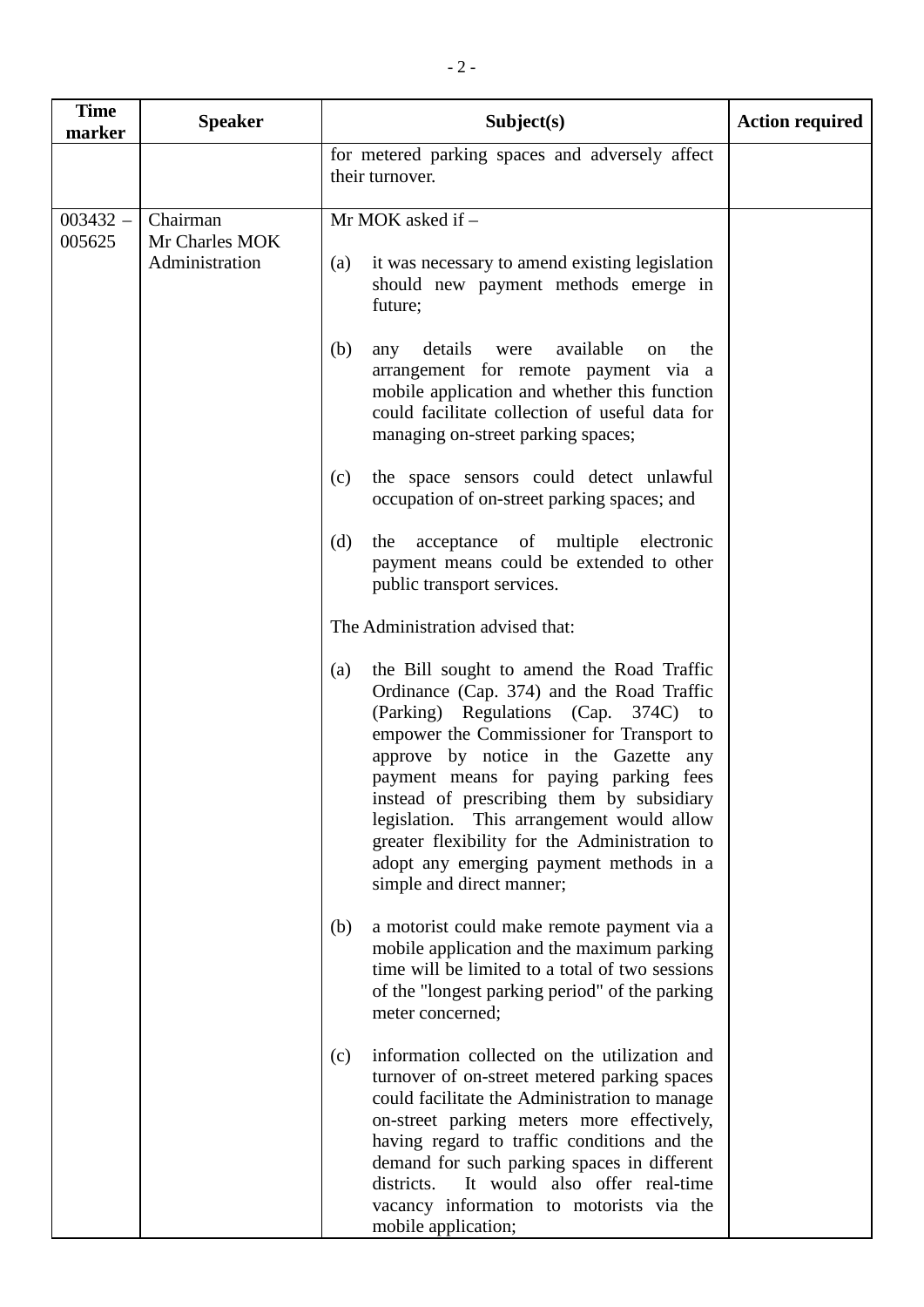| <b>Time</b><br>marker | <b>Speaker</b>                   | Subject(s)                                                                                                                                                                                                                                                                                                                                                                                                                                                                             | <b>Action required</b> |
|-----------------------|----------------------------------|----------------------------------------------------------------------------------------------------------------------------------------------------------------------------------------------------------------------------------------------------------------------------------------------------------------------------------------------------------------------------------------------------------------------------------------------------------------------------------------|------------------------|
|                       |                                  | for metered parking spaces and adversely affect<br>their turnover.                                                                                                                                                                                                                                                                                                                                                                                                                     |                        |
| $003432 -$            | Chairman                         | Mr MOK asked if -                                                                                                                                                                                                                                                                                                                                                                                                                                                                      |                        |
| 005625                | Mr Charles MOK<br>Administration | it was necessary to amend existing legislation<br>(a)<br>should new payment methods emerge in<br>future;                                                                                                                                                                                                                                                                                                                                                                               |                        |
|                       |                                  | available<br>(b)<br>details were<br>the<br>any<br><sub>on</sub><br>arrangement for remote payment via a<br>mobile application and whether this function<br>could facilitate collection of useful data for<br>managing on-street parking spaces;                                                                                                                                                                                                                                        |                        |
|                       |                                  | the space sensors could detect unlawful<br>(c)<br>occupation of on-street parking spaces; and                                                                                                                                                                                                                                                                                                                                                                                          |                        |
|                       |                                  | the acceptance of multiple electronic<br>(d)<br>payment means could be extended to other<br>public transport services.                                                                                                                                                                                                                                                                                                                                                                 |                        |
|                       |                                  | The Administration advised that:                                                                                                                                                                                                                                                                                                                                                                                                                                                       |                        |
|                       |                                  | the Bill sought to amend the Road Traffic<br>(a)<br>Ordinance (Cap. 374) and the Road Traffic<br>(Parking) Regulations (Cap. 374C) to<br>empower the Commissioner for Transport to<br>approve by notice in the Gazette any<br>payment means for paying parking fees<br>instead of prescribing them by subsidiary<br>legislation. This arrangement would allow<br>greater flexibility for the Administration to<br>adopt any emerging payment methods in a<br>simple and direct manner; |                        |
|                       |                                  | (b)<br>a motorist could make remote payment via a<br>mobile application and the maximum parking<br>time will be limited to a total of two sessions<br>of the "longest parking period" of the parking<br>meter concerned;                                                                                                                                                                                                                                                               |                        |
|                       |                                  | information collected on the utilization and<br>(c)<br>turnover of on-street metered parking spaces<br>could facilitate the Administration to manage<br>on-street parking meters more effectively,<br>having regard to traffic conditions and the<br>demand for such parking spaces in different<br>It would also offer real-time<br>districts.<br>vacancy information to motorists via the<br>mobile application;                                                                     |                        |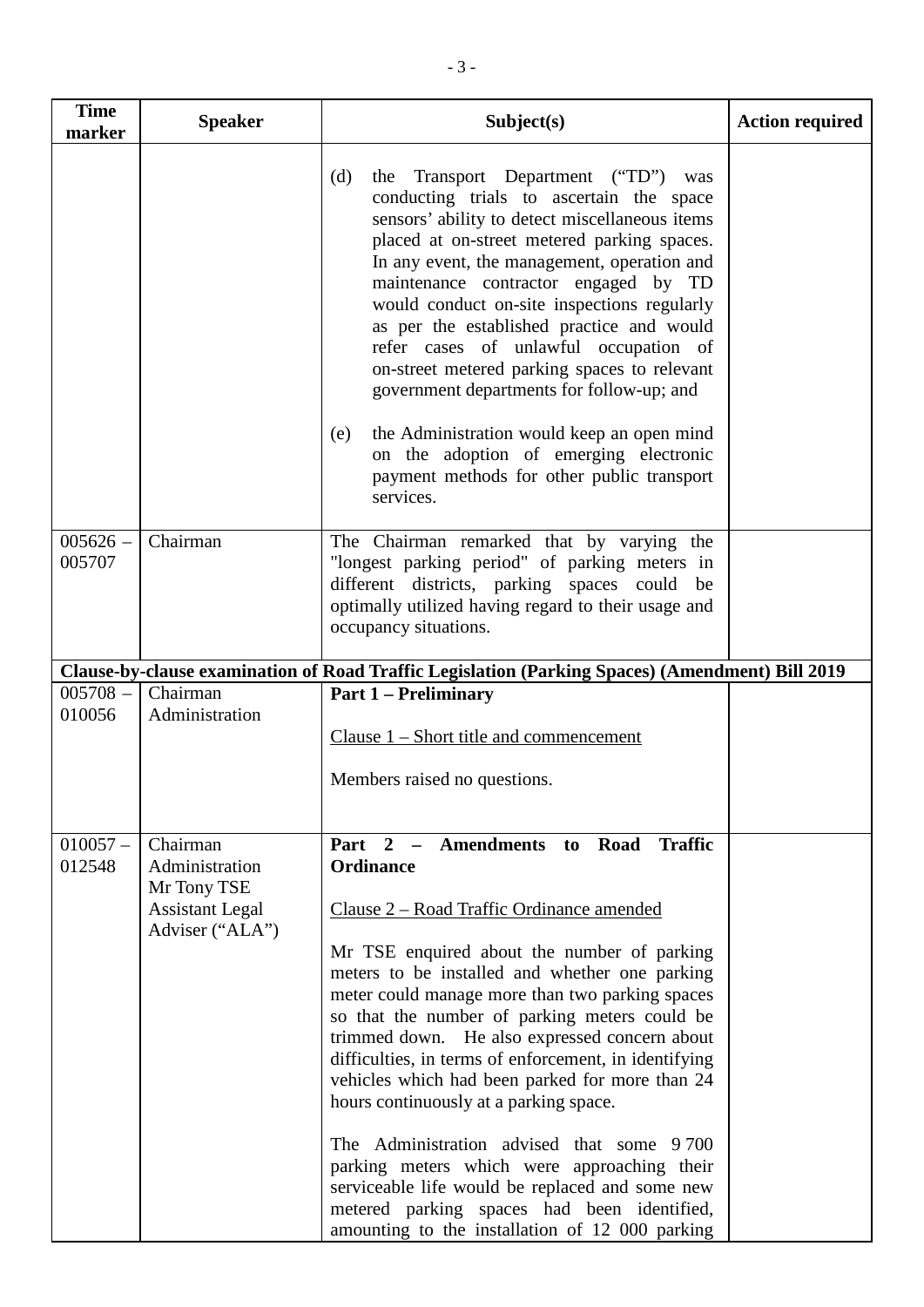| <b>Time</b><br>marker | <b>Speaker</b>                                                      | Subject(s)                                                                                                                                                                                                                                                                                                                                                                                                                                                                                                                                                                                                                                                                    | <b>Action required</b> |
|-----------------------|---------------------------------------------------------------------|-------------------------------------------------------------------------------------------------------------------------------------------------------------------------------------------------------------------------------------------------------------------------------------------------------------------------------------------------------------------------------------------------------------------------------------------------------------------------------------------------------------------------------------------------------------------------------------------------------------------------------------------------------------------------------|------------------------|
|                       |                                                                     | (d)<br>Transport Department ("TD") was<br>the<br>conducting trials to ascertain the space<br>sensors' ability to detect miscellaneous items<br>placed at on-street metered parking spaces.<br>In any event, the management, operation and<br>maintenance contractor engaged by TD<br>would conduct on-site inspections regularly<br>as per the established practice and would<br>refer cases of unlawful occupation of<br>on-street metered parking spaces to relevant<br>government departments for follow-up; and<br>the Administration would keep an open mind<br>(e)<br>on the adoption of emerging electronic<br>payment methods for other public transport<br>services. |                        |
| $005626 -$<br>005707  | Chairman                                                            | The Chairman remarked that by varying the<br>"longest parking period" of parking meters in<br>different districts, parking spaces could<br>be<br>optimally utilized having regard to their usage and<br>occupancy situations.                                                                                                                                                                                                                                                                                                                                                                                                                                                 |                        |
|                       |                                                                     | Clause-by-clause examination of Road Traffic Legislation (Parking Spaces) (Amendment) Bill 2019                                                                                                                                                                                                                                                                                                                                                                                                                                                                                                                                                                               |                        |
| $005708 -$<br>010056  | Chairman<br>Administration                                          | <b>Part 1 – Preliminary</b>                                                                                                                                                                                                                                                                                                                                                                                                                                                                                                                                                                                                                                                   |                        |
|                       |                                                                     | Clause $1$ – Short title and commencement                                                                                                                                                                                                                                                                                                                                                                                                                                                                                                                                                                                                                                     |                        |
|                       |                                                                     | Members raised no questions.                                                                                                                                                                                                                                                                                                                                                                                                                                                                                                                                                                                                                                                  |                        |
| $010057 -$<br>012548  | Chairman<br>Administration<br>Mr Tony TSE<br><b>Assistant Legal</b> | Part 2 - Amendments to Road<br><b>Traffic</b><br>Ordinance<br>Clause 2 – Road Traffic Ordinance amended                                                                                                                                                                                                                                                                                                                                                                                                                                                                                                                                                                       |                        |
|                       | Adviser ("ALA")                                                     | Mr TSE enquired about the number of parking<br>meters to be installed and whether one parking<br>meter could manage more than two parking spaces<br>so that the number of parking meters could be<br>trimmed down. He also expressed concern about<br>difficulties, in terms of enforcement, in identifying<br>vehicles which had been parked for more than 24<br>hours continuously at a parking space.                                                                                                                                                                                                                                                                      |                        |
|                       |                                                                     | The Administration advised that some 9700<br>parking meters which were approaching their<br>serviceable life would be replaced and some new<br>metered parking spaces had been identified,<br>amounting to the installation of 12 000 parking                                                                                                                                                                                                                                                                                                                                                                                                                                 |                        |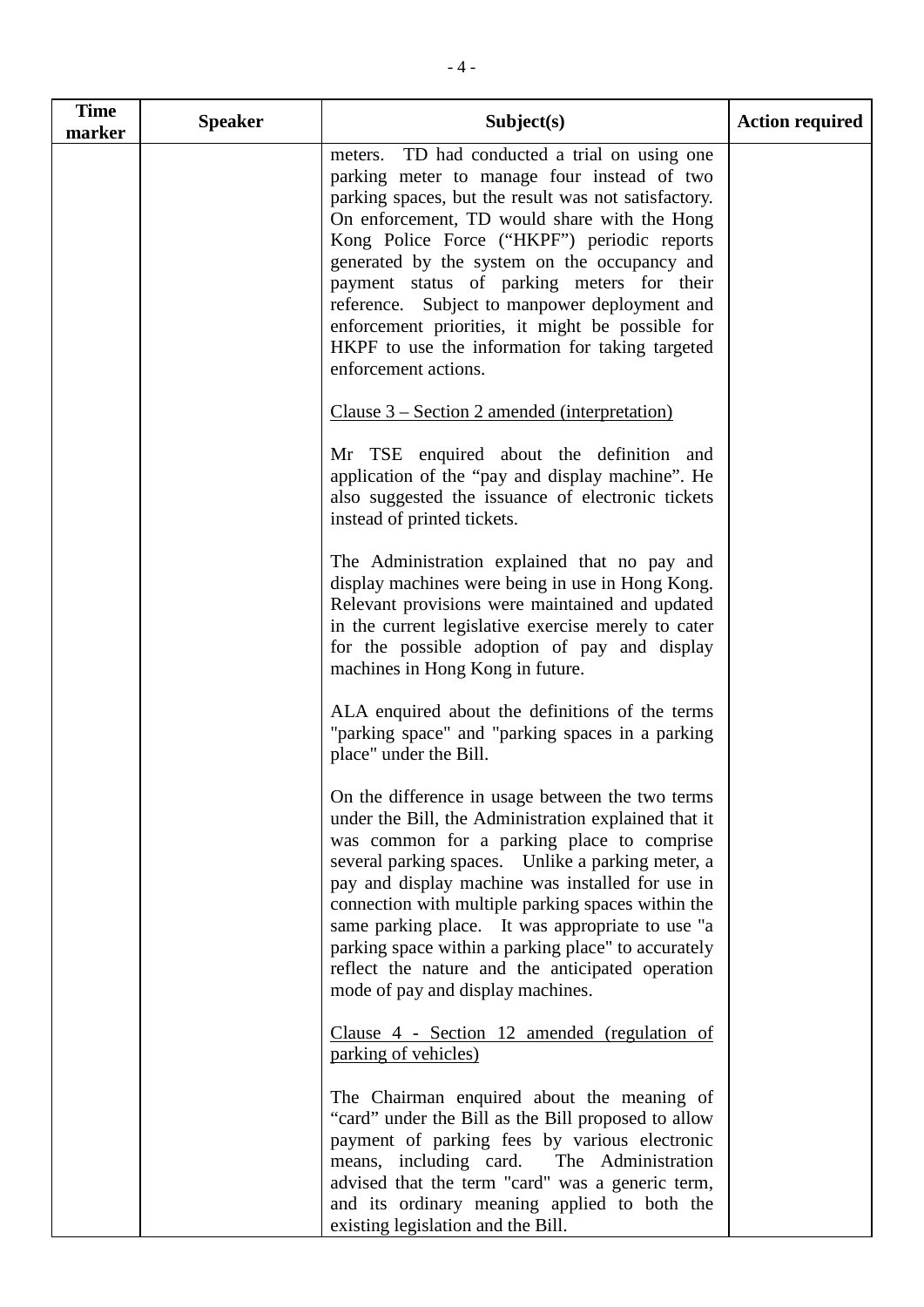| <b>Time</b><br>marker | <b>Speaker</b> | Subject(s)                                                                                                                                                                                                                                                                                                                                                                                                                                                                                                                        | <b>Action required</b> |
|-----------------------|----------------|-----------------------------------------------------------------------------------------------------------------------------------------------------------------------------------------------------------------------------------------------------------------------------------------------------------------------------------------------------------------------------------------------------------------------------------------------------------------------------------------------------------------------------------|------------------------|
|                       |                | meters. TD had conducted a trial on using one<br>parking meter to manage four instead of two<br>parking spaces, but the result was not satisfactory.<br>On enforcement, TD would share with the Hong<br>Kong Police Force ("HKPF") periodic reports<br>generated by the system on the occupancy and<br>payment status of parking meters for their<br>reference. Subject to manpower deployment and<br>enforcement priorities, it might be possible for<br>HKPF to use the information for taking targeted<br>enforcement actions. |                        |
|                       |                | Clause 3 – Section 2 amended (interpretation)                                                                                                                                                                                                                                                                                                                                                                                                                                                                                     |                        |
|                       |                | Mr TSE enquired about the definition and<br>application of the "pay and display machine". He<br>also suggested the issuance of electronic tickets<br>instead of printed tickets.                                                                                                                                                                                                                                                                                                                                                  |                        |
|                       |                | The Administration explained that no pay and<br>display machines were being in use in Hong Kong.<br>Relevant provisions were maintained and updated<br>in the current legislative exercise merely to cater<br>for the possible adoption of pay and display<br>machines in Hong Kong in future.                                                                                                                                                                                                                                    |                        |
|                       |                | ALA enquired about the definitions of the terms<br>"parking space" and "parking spaces in a parking<br>place" under the Bill.                                                                                                                                                                                                                                                                                                                                                                                                     |                        |
|                       |                | On the difference in usage between the two terms<br>under the Bill, the Administration explained that it<br>was common for a parking place to comprise<br>several parking spaces. Unlike a parking meter, a<br>pay and display machine was installed for use in<br>connection with multiple parking spaces within the<br>same parking place. It was appropriate to use "a<br>parking space within a parking place" to accurately<br>reflect the nature and the anticipated operation<br>mode of pay and display machines.         |                        |
|                       |                | Clause 4 - Section 12 amended (regulation of<br>parking of vehicles)                                                                                                                                                                                                                                                                                                                                                                                                                                                              |                        |
|                       |                | The Chairman enquired about the meaning of<br>"card" under the Bill as the Bill proposed to allow<br>payment of parking fees by various electronic<br>means, including card. The Administration<br>advised that the term "card" was a generic term,<br>and its ordinary meaning applied to both the<br>existing legislation and the Bill.                                                                                                                                                                                         |                        |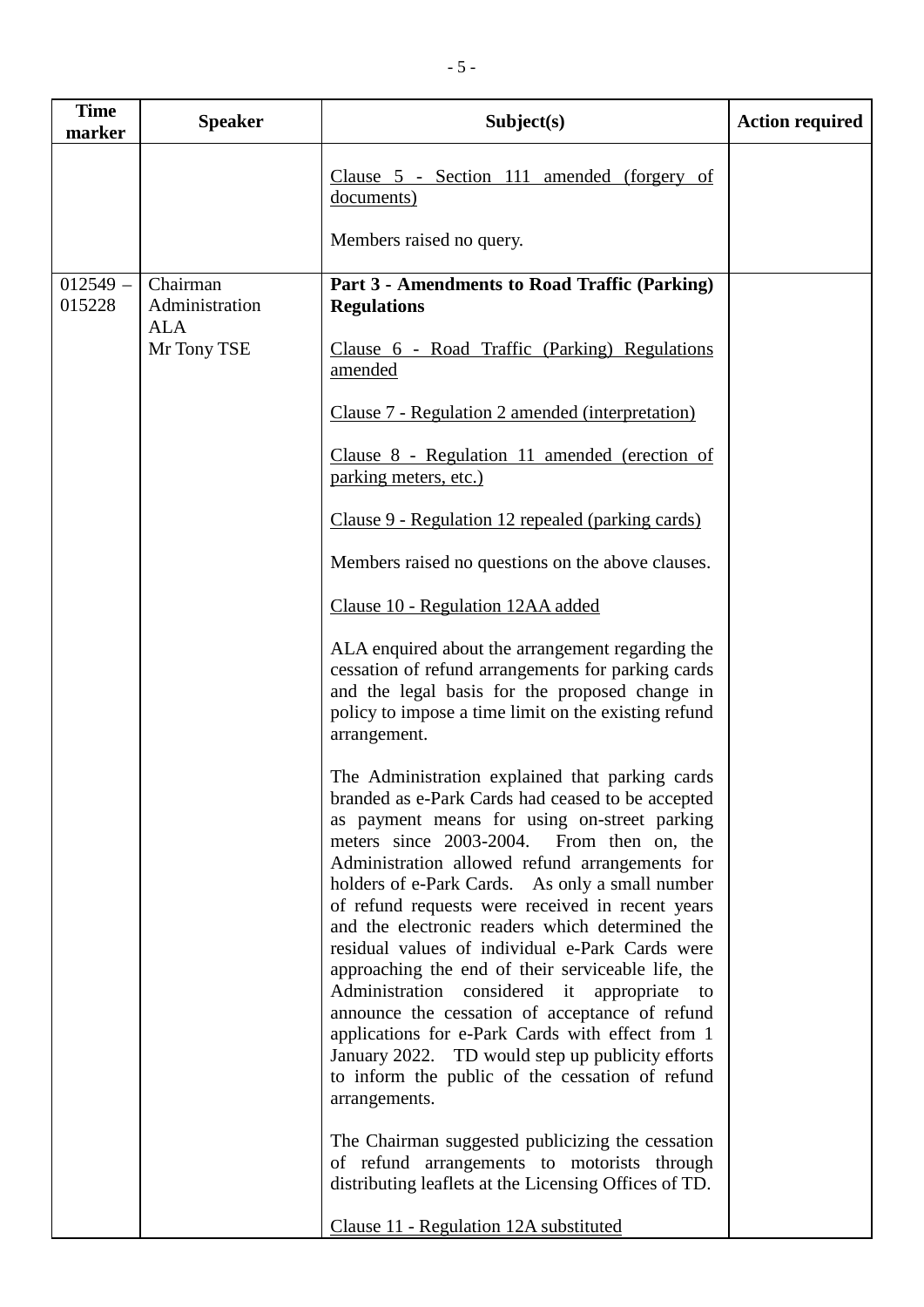| <b>Time</b><br>marker | <b>Speaker</b>             | Subject(s)                                                                                                                                                                                                                                                                                                                                                                                                                                                                                                                                                                                                                                                                                                                                                                                                                                                                                                                                                            | <b>Action required</b> |
|-----------------------|----------------------------|-----------------------------------------------------------------------------------------------------------------------------------------------------------------------------------------------------------------------------------------------------------------------------------------------------------------------------------------------------------------------------------------------------------------------------------------------------------------------------------------------------------------------------------------------------------------------------------------------------------------------------------------------------------------------------------------------------------------------------------------------------------------------------------------------------------------------------------------------------------------------------------------------------------------------------------------------------------------------|------------------------|
|                       |                            | Clause 5 - Section 111 amended (forgery of<br>documents)                                                                                                                                                                                                                                                                                                                                                                                                                                                                                                                                                                                                                                                                                                                                                                                                                                                                                                              |                        |
|                       |                            | Members raised no query.                                                                                                                                                                                                                                                                                                                                                                                                                                                                                                                                                                                                                                                                                                                                                                                                                                                                                                                                              |                        |
| $012549 -$<br>015228  | Chairman<br>Administration | Part 3 - Amendments to Road Traffic (Parking)<br><b>Regulations</b>                                                                                                                                                                                                                                                                                                                                                                                                                                                                                                                                                                                                                                                                                                                                                                                                                                                                                                   |                        |
|                       | <b>ALA</b><br>Mr Tony TSE  | Clause 6 - Road Traffic (Parking) Regulations<br>amended                                                                                                                                                                                                                                                                                                                                                                                                                                                                                                                                                                                                                                                                                                                                                                                                                                                                                                              |                        |
|                       |                            | Clause 7 - Regulation 2 amended (interpretation)                                                                                                                                                                                                                                                                                                                                                                                                                                                                                                                                                                                                                                                                                                                                                                                                                                                                                                                      |                        |
|                       |                            | Clause 8 - Regulation 11 amended (erection of<br>parking meters, etc.)                                                                                                                                                                                                                                                                                                                                                                                                                                                                                                                                                                                                                                                                                                                                                                                                                                                                                                |                        |
|                       |                            | Clause 9 - Regulation 12 repealed (parking cards)                                                                                                                                                                                                                                                                                                                                                                                                                                                                                                                                                                                                                                                                                                                                                                                                                                                                                                                     |                        |
|                       |                            | Members raised no questions on the above clauses.                                                                                                                                                                                                                                                                                                                                                                                                                                                                                                                                                                                                                                                                                                                                                                                                                                                                                                                     |                        |
|                       |                            | Clause 10 - Regulation 12AA added                                                                                                                                                                                                                                                                                                                                                                                                                                                                                                                                                                                                                                                                                                                                                                                                                                                                                                                                     |                        |
|                       |                            | ALA enquired about the arrangement regarding the<br>cessation of refund arrangements for parking cards<br>and the legal basis for the proposed change in<br>policy to impose a time limit on the existing refund<br>arrangement.                                                                                                                                                                                                                                                                                                                                                                                                                                                                                                                                                                                                                                                                                                                                      |                        |
|                       |                            | The Administration explained that parking cards<br>branded as e-Park Cards had ceased to be accepted<br>as payment means for using on-street parking<br>meters since 2003-2004.<br>From then on, the<br>Administration allowed refund arrangements for<br>holders of e-Park Cards. As only a small number<br>of refund requests were received in recent years<br>and the electronic readers which determined the<br>residual values of individual e-Park Cards were<br>approaching the end of their serviceable life, the<br>Administration considered it<br>appropriate to<br>announce the cessation of acceptance of refund<br>applications for e-Park Cards with effect from 1<br>January 2022. TD would step up publicity efforts<br>to inform the public of the cessation of refund<br>arrangements.<br>The Chairman suggested publicizing the cessation<br>of refund arrangements to motorists through<br>distributing leaflets at the Licensing Offices of TD. |                        |
|                       |                            | Clause 11 - Regulation 12A substituted                                                                                                                                                                                                                                                                                                                                                                                                                                                                                                                                                                                                                                                                                                                                                                                                                                                                                                                                |                        |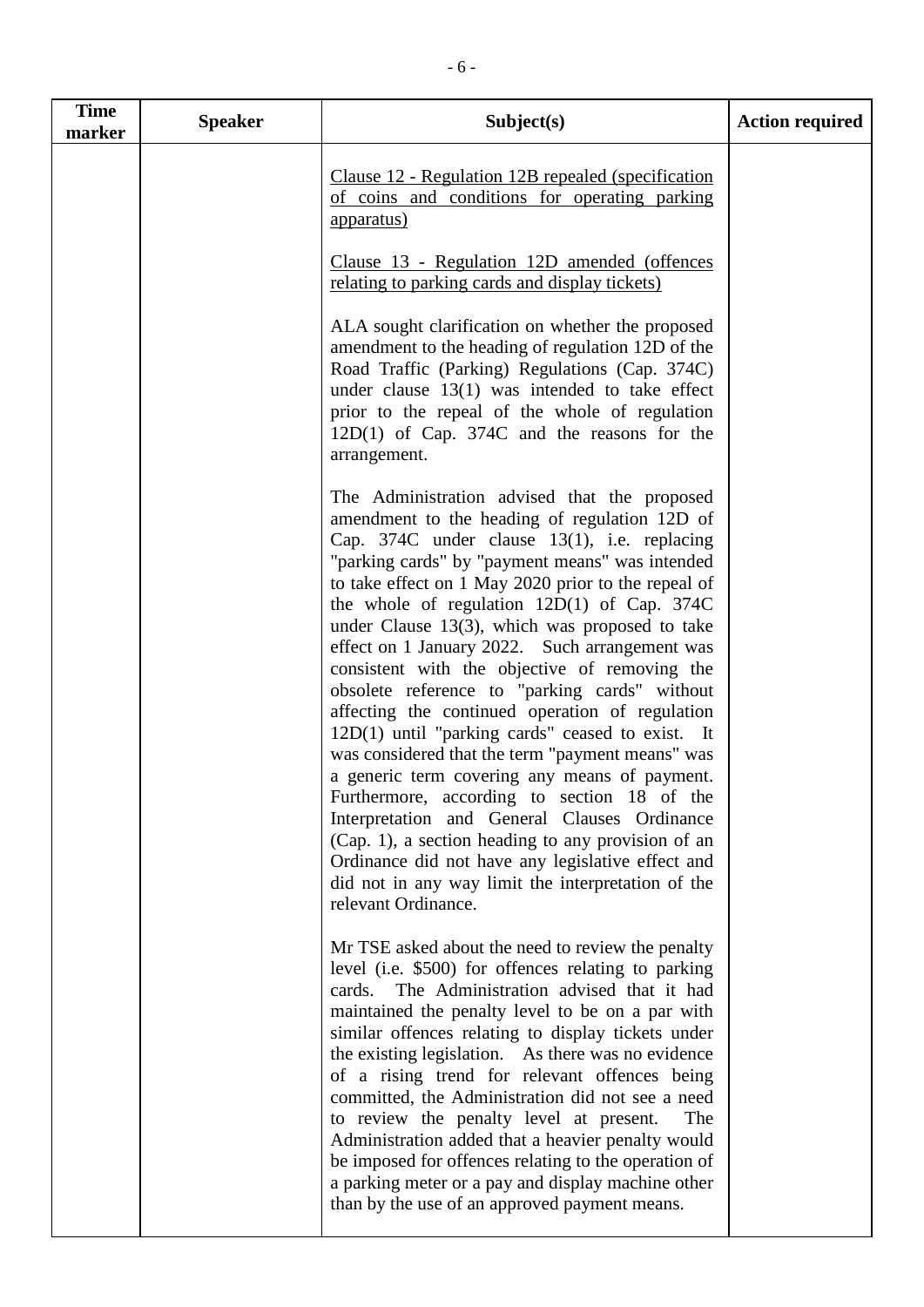| <b>Time</b><br>marker | <b>Speaker</b> | Subject(s)                                                                                                                                                                                                                                                                                                                                                                                                                                                                                                                                                                                                                                                                                                                                                                                                                                                                                                                                                                                                               | <b>Action required</b> |
|-----------------------|----------------|--------------------------------------------------------------------------------------------------------------------------------------------------------------------------------------------------------------------------------------------------------------------------------------------------------------------------------------------------------------------------------------------------------------------------------------------------------------------------------------------------------------------------------------------------------------------------------------------------------------------------------------------------------------------------------------------------------------------------------------------------------------------------------------------------------------------------------------------------------------------------------------------------------------------------------------------------------------------------------------------------------------------------|------------------------|
|                       |                | Clause 12 - Regulation 12B repealed (specification<br>of coins and conditions for operating parking<br><u>apparatus)</u>                                                                                                                                                                                                                                                                                                                                                                                                                                                                                                                                                                                                                                                                                                                                                                                                                                                                                                 |                        |
|                       |                | Clause 13 - Regulation 12D amended (offences<br>relating to parking cards and display tickets)                                                                                                                                                                                                                                                                                                                                                                                                                                                                                                                                                                                                                                                                                                                                                                                                                                                                                                                           |                        |
|                       |                | ALA sought clarification on whether the proposed<br>amendment to the heading of regulation 12D of the<br>Road Traffic (Parking) Regulations (Cap. 374C)<br>under clause $13(1)$ was intended to take effect<br>prior to the repeal of the whole of regulation<br>$12D(1)$ of Cap. 374C and the reasons for the<br>arrangement.                                                                                                                                                                                                                                                                                                                                                                                                                                                                                                                                                                                                                                                                                           |                        |
|                       |                | The Administration advised that the proposed<br>amendment to the heading of regulation 12D of<br>Cap. $374C$ under clause 13(1), i.e. replacing<br>"parking cards" by "payment means" was intended<br>to take effect on 1 May 2020 prior to the repeal of<br>the whole of regulation $12D(1)$ of Cap. 374C<br>under Clause $13(3)$ , which was proposed to take<br>effect on 1 January 2022. Such arrangement was<br>consistent with the objective of removing the<br>obsolete reference to "parking cards" without<br>affecting the continued operation of regulation<br>$12D(1)$ until "parking cards" ceased to exist. It<br>was considered that the term "payment means" was<br>a generic term covering any means of payment.<br>Furthermore, according to section 18 of the<br>Interpretation and General Clauses Ordinance<br>(Cap. 1), a section heading to any provision of an<br>Ordinance did not have any legislative effect and<br>did not in any way limit the interpretation of the<br>relevant Ordinance. |                        |
|                       |                | Mr TSE asked about the need to review the penalty<br>level (i.e. \$500) for offences relating to parking<br>The Administration advised that it had<br>cards.<br>maintained the penalty level to be on a par with<br>similar offences relating to display tickets under<br>the existing legislation. As there was no evidence<br>of a rising trend for relevant offences being<br>committed, the Administration did not see a need<br>to review the penalty level at present.<br>The<br>Administration added that a heavier penalty would<br>be imposed for offences relating to the operation of<br>a parking meter or a pay and display machine other<br>than by the use of an approved payment means.                                                                                                                                                                                                                                                                                                                  |                        |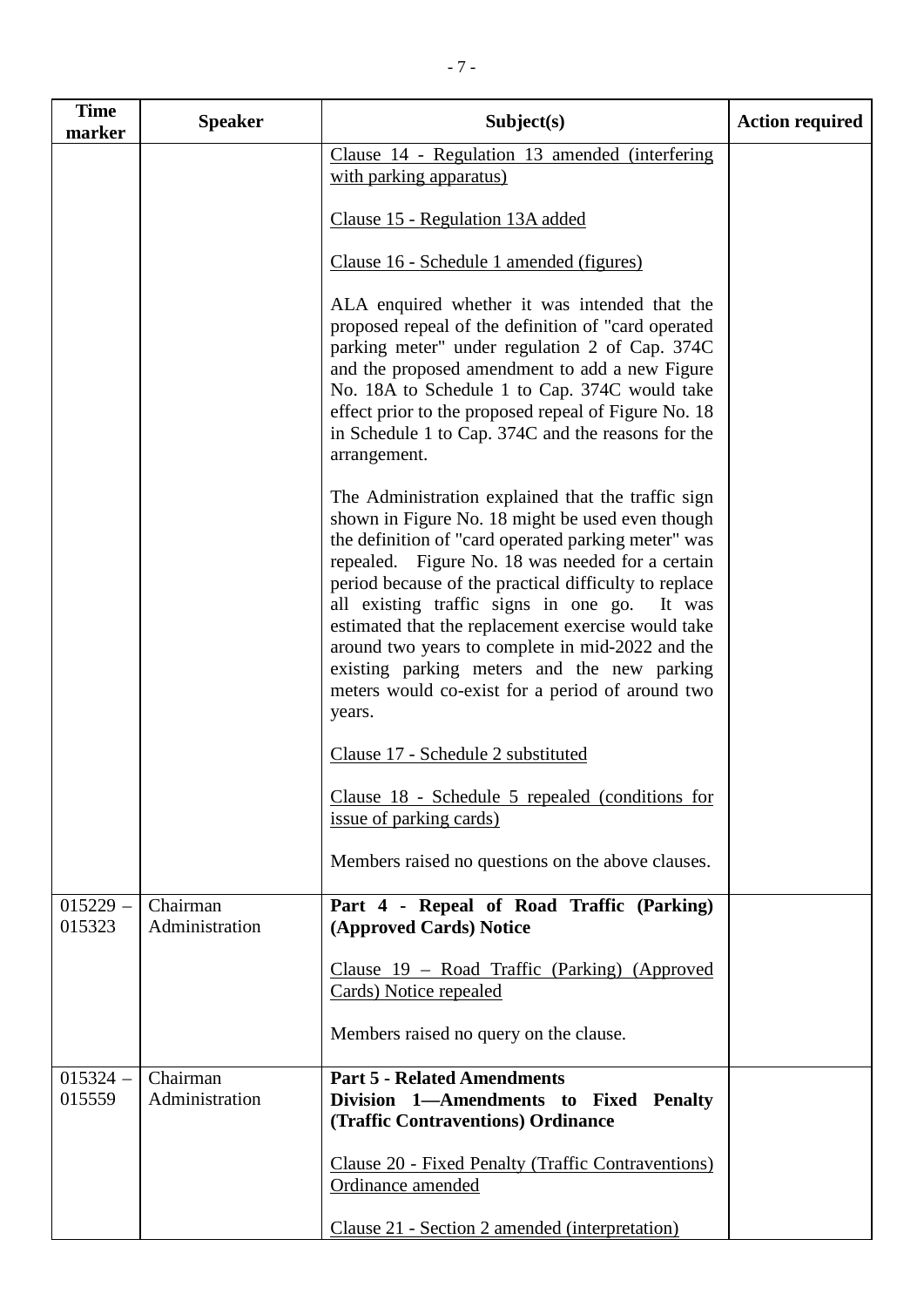| <b>Time</b><br>marker | <b>Speaker</b>             | Subject(s)                                                                                                                                                                                                                                                                                                                                                                                                                                                                                                                                           | <b>Action required</b> |
|-----------------------|----------------------------|------------------------------------------------------------------------------------------------------------------------------------------------------------------------------------------------------------------------------------------------------------------------------------------------------------------------------------------------------------------------------------------------------------------------------------------------------------------------------------------------------------------------------------------------------|------------------------|
|                       |                            | Clause 14 - Regulation 13 amended (interfering<br>with parking apparatus)                                                                                                                                                                                                                                                                                                                                                                                                                                                                            |                        |
|                       |                            | Clause 15 - Regulation 13A added                                                                                                                                                                                                                                                                                                                                                                                                                                                                                                                     |                        |
|                       |                            | Clause 16 - Schedule 1 amended (figures)                                                                                                                                                                                                                                                                                                                                                                                                                                                                                                             |                        |
|                       |                            | ALA enquired whether it was intended that the<br>proposed repeal of the definition of "card operated<br>parking meter" under regulation 2 of Cap. 374C<br>and the proposed amendment to add a new Figure<br>No. 18A to Schedule 1 to Cap. 374C would take<br>effect prior to the proposed repeal of Figure No. 18<br>in Schedule 1 to Cap. 374C and the reasons for the<br>arrangement.                                                                                                                                                              |                        |
|                       |                            | The Administration explained that the traffic sign<br>shown in Figure No. 18 might be used even though<br>the definition of "card operated parking meter" was<br>repealed. Figure No. 18 was needed for a certain<br>period because of the practical difficulty to replace<br>all existing traffic signs in one go.<br>It was<br>estimated that the replacement exercise would take<br>around two years to complete in mid-2022 and the<br>existing parking meters and the new parking<br>meters would co-exist for a period of around two<br>years. |                        |
|                       |                            | Clause 17 - Schedule 2 substituted                                                                                                                                                                                                                                                                                                                                                                                                                                                                                                                   |                        |
|                       |                            | Clause 18 - Schedule 5 repealed (conditions for<br>issue of parking cards)                                                                                                                                                                                                                                                                                                                                                                                                                                                                           |                        |
|                       |                            | Members raised no questions on the above clauses.                                                                                                                                                                                                                                                                                                                                                                                                                                                                                                    |                        |
| $015229 -$<br>015323  | Chairman<br>Administration | Part 4 - Repeal of Road Traffic (Parking)<br>(Approved Cards) Notice                                                                                                                                                                                                                                                                                                                                                                                                                                                                                 |                        |
|                       |                            | Clause 19 – Road Traffic (Parking) (Approved<br>Cards) Notice repealed                                                                                                                                                                                                                                                                                                                                                                                                                                                                               |                        |
|                       |                            | Members raised no query on the clause.                                                                                                                                                                                                                                                                                                                                                                                                                                                                                                               |                        |
| $015324 -$<br>015559  | Chairman<br>Administration | <b>Part 5 - Related Amendments</b><br>Division 1—Amendments to Fixed Penalty<br>(Traffic Contraventions) Ordinance                                                                                                                                                                                                                                                                                                                                                                                                                                   |                        |
|                       |                            | Clause 20 - Fixed Penalty (Traffic Contraventions)<br>Ordinance amended                                                                                                                                                                                                                                                                                                                                                                                                                                                                              |                        |
|                       |                            | Clause 21 - Section 2 amended (interpretation)                                                                                                                                                                                                                                                                                                                                                                                                                                                                                                       |                        |